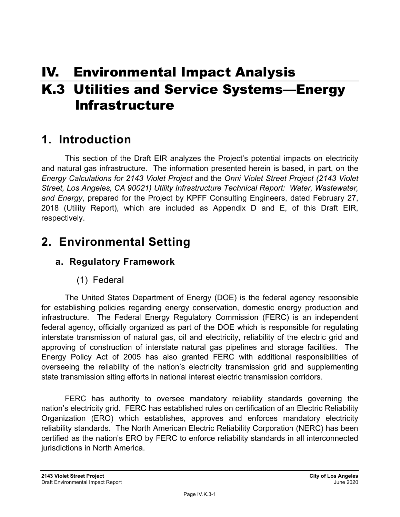# IV. Environmental Impact Analysis K.3 Utilities and Service Systems—Energy Infrastructure

# **1. Introduction**

This section of the Draft EIR analyzes the Project's potential impacts on electricity and natural gas infrastructure. The information presented herein is based, in part, on the *Energy Calculations for 2143 Violet Project* and the *Onni Violet Street Project (2143 Violet Street, Los Angeles, CA 90021) Utility Infrastructure Technical Report: Water, Wastewater, and Energy*, prepared for the Project by KPFF Consulting Engineers, dated February 27, 2018 (Utility Report), which are included as Appendix D and E, of this Draft EIR, respectively.

# **2. Environmental Setting**

# **a. Regulatory Framework**

# (1) Federal

The United States Department of Energy (DOE) is the federal agency responsible for establishing policies regarding energy conservation, domestic energy production and infrastructure. The Federal Energy Regulatory Commission (FERC) is an independent federal agency, officially organized as part of the DOE which is responsible for regulating interstate transmission of natural gas, oil and electricity, reliability of the electric grid and approving of construction of interstate natural gas pipelines and storage facilities. The Energy Policy Act of 2005 has also granted FERC with additional responsibilities of overseeing the reliability of the nation's electricity transmission grid and supplementing state transmission siting efforts in national interest electric transmission corridors.

FERC has authority to oversee mandatory reliability standards governing the nation's electricity grid. FERC has established rules on certification of an Electric Reliability Organization (ERO) which establishes, approves and enforces mandatory electricity reliability standards. The North American Electric Reliability Corporation (NERC) has been certified as the nation's ERO by FERC to enforce reliability standards in all interconnected jurisdictions in North America.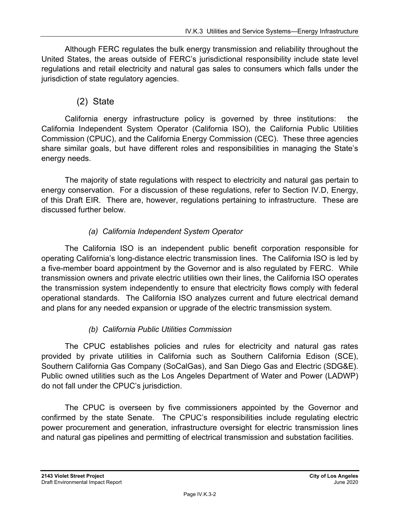Although FERC regulates the bulk energy transmission and reliability throughout the United States, the areas outside of FERC's jurisdictional responsibility include state level regulations and retail electricity and natural gas sales to consumers which falls under the jurisdiction of state regulatory agencies.

# (2) State

California energy infrastructure policy is governed by three institutions: the California Independent System Operator (California ISO), the California Public Utilities Commission (CPUC), and the California Energy Commission (CEC). These three agencies share similar goals, but have different roles and responsibilities in managing the State's energy needs.

The majority of state regulations with respect to electricity and natural gas pertain to energy conservation. For a discussion of these regulations, refer to Section IV.D, Energy, of this Draft EIR. There are, however, regulations pertaining to infrastructure. These are discussed further below.

## *(a) California Independent System Operator*

The California ISO is an independent public benefit corporation responsible for operating California's long-distance electric transmission lines. The California ISO is led by a five-member board appointment by the Governor and is also regulated by FERC. While transmission owners and private electric utilities own their lines, the California ISO operates the transmission system independently to ensure that electricity flows comply with federal operational standards. The California ISO analyzes current and future electrical demand and plans for any needed expansion or upgrade of the electric transmission system.

### *(b) California Public Utilities Commission*

The CPUC establishes policies and rules for electricity and natural gas rates provided by private utilities in California such as Southern California Edison (SCE), Southern California Gas Company (SoCalGas), and San Diego Gas and Electric (SDG&E). Public owned utilities such as the Los Angeles Department of Water and Power (LADWP) do not fall under the CPUC's jurisdiction.

The CPUC is overseen by five commissioners appointed by the Governor and confirmed by the state Senate. The CPUC's responsibilities include regulating electric power procurement and generation, infrastructure oversight for electric transmission lines and natural gas pipelines and permitting of electrical transmission and substation facilities.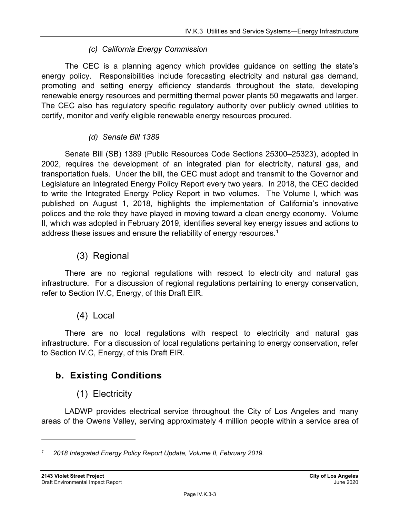### *(c) California Energy Commission*

The CEC is a planning agency which provides guidance on setting the state's energy policy. Responsibilities include forecasting electricity and natural gas demand, promoting and setting energy efficiency standards throughout the state, developing renewable energy resources and permitting thermal power plants 50 megawatts and larger. The CEC also has regulatory specific regulatory authority over publicly owned utilities to certify, monitor and verify eligible renewable energy resources procured.

### *(d) Senate Bill 1389*

Senate Bill (SB) 1389 (Public Resources Code Sections 25300–25323), adopted in 2002, requires the development of an integrated plan for electricity, natural gas, and transportation fuels. Under the bill, the CEC must adopt and transmit to the Governor and Legislature an Integrated Energy Policy Report every two years. In 2018, the CEC decided to write the Integrated Energy Policy Report in two volumes. The Volume I, which was published on August 1, 2018, highlights the implementation of California's innovative polices and the role they have played in moving toward a clean energy economy. Volume II, which was adopted in February 2019, identifies several key energy issues and actions to address these issues and ensure the reliability of energy resources.<sup>1</sup>

# (3) Regional

There are no regional regulations with respect to electricity and natural gas infrastructure. For a discussion of regional regulations pertaining to energy conservation, refer to Section IV.C, Energy, of this Draft EIR.

# (4) Local

There are no local regulations with respect to electricity and natural gas infrastructure. For a discussion of local regulations pertaining to energy conservation, refer to Section IV.C, Energy, of this Draft EIR.

# **b. Existing Conditions**

# (1) Electricity

LADWP provides electrical service throughout the City of Los Angeles and many areas of the Owens Valley, serving approximately 4 million people within a service area of

*<sup>1 2018</sup> Integrated Energy Policy Report Update, Volume II, February 2019.*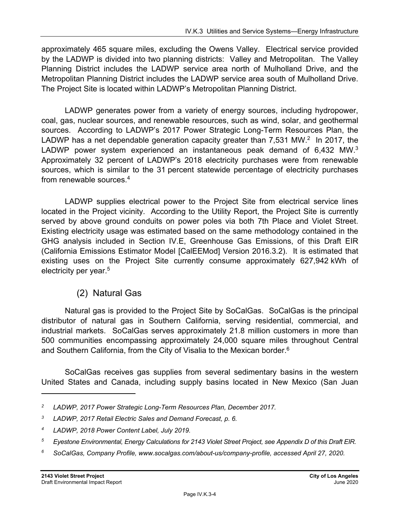approximately 465 square miles, excluding the Owens Valley. Electrical service provided by the LADWP is divided into two planning districts: Valley and Metropolitan. The Valley Planning District includes the LADWP service area north of Mulholland Drive, and the Metropolitan Planning District includes the LADWP service area south of Mulholland Drive. The Project Site is located within LADWP's Metropolitan Planning District.

LADWP generates power from a variety of energy sources, including hydropower, coal, gas, nuclear sources, and renewable resources, such as wind, solar, and geothermal sources. According to LADWP's 2017 Power Strategic Long-Term Resources Plan, the LADWP has a net dependable generation capacity greater than  $7,531$  MW.<sup>2</sup> In 2017, the LADWP power system experienced an instantaneous peak demand of 6,432 MW.<sup>3</sup> Approximately 32 percent of LADWP's 2018 electricity purchases were from renewable sources, which is similar to the 31 percent statewide percentage of electricity purchases from renewable sources.4

LADWP supplies electrical power to the Project Site from electrical service lines located in the Project vicinity. According to the Utility Report, the Project Site is currently served by above ground conduits on power poles via both 7th Place and Violet Street. Existing electricity usage was estimated based on the same methodology contained in the GHG analysis included in Section IV.E, Greenhouse Gas Emissions, of this Draft EIR (California Emissions Estimator Model [CalEEMod] Version 2016.3.2). It is estimated that existing uses on the Project Site currently consume approximately 627,942 kWh of electricity per year.<sup>5</sup>

# (2) Natural Gas

Natural gas is provided to the Project Site by SoCalGas. SoCalGas is the principal distributor of natural gas in Southern California, serving residential, commercial, and industrial markets. SoCalGas serves approximately 21.8 million customers in more than 500 communities encompassing approximately 24,000 square miles throughout Central and Southern California, from the City of Visalia to the Mexican border.<sup>6</sup>

SoCalGas receives gas supplies from several sedimentary basins in the western United States and Canada, including supply basins located in New Mexico (San Juan

*6 SoCalGas, Company Profile, www.socalgas.com/about-us/company-profile, accessed April 27, 2020.* 

*<sup>2</sup> LADWP, 2017 Power Strategic Long-Term Resources Plan, December 2017.* 

*<sup>3</sup> LADWP, 2017 Retail Electric Sales and Demand Forecast, p. 6.* 

*<sup>4</sup> LADWP, 2018 Power Content Label, July 2019.* 

*<sup>5</sup> Eyestone Environmental, Energy Calculations for 2143 Violet Street Project, see Appendix D of this Draft EIR.*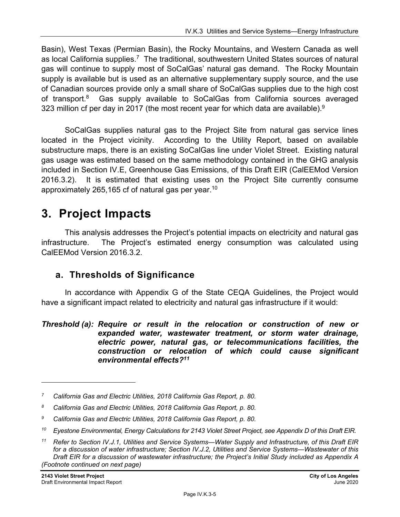Basin), West Texas (Permian Basin), the Rocky Mountains, and Western Canada as well as local California supplies.<sup>7</sup> The traditional, southwestern United States sources of natural gas will continue to supply most of SoCalGas' natural gas demand. The Rocky Mountain supply is available but is used as an alternative supplementary supply source, and the use of Canadian sources provide only a small share of SoCalGas supplies due to the high cost of transport.8 Gas supply available to SoCalGas from California sources averaged 323 million cf per day in 2017 (the most recent year for which data are available). $9$ 

SoCalGas supplies natural gas to the Project Site from natural gas service lines located in the Project vicinity. According to the Utility Report, based on available substructure maps, there is an existing SoCalGas line under Violet Street. Existing natural gas usage was estimated based on the same methodology contained in the GHG analysis included in Section IV.E, Greenhouse Gas Emissions, of this Draft EIR (CalEEMod Version 2016.3.2). It is estimated that existing uses on the Project Site currently consume approximately 265,165 cf of natural gas per year.<sup>10</sup>

# **3. Project Impacts**

This analysis addresses the Project's potential impacts on electricity and natural gas infrastructure. The Project's estimated energy consumption was calculated using CalEEMod Version 2016.3.2.

# **a. Thresholds of Significance**

In accordance with Appendix G of the State CEQA Guidelines, the Project would have a significant impact related to electricity and natural gas infrastructure if it would:

#### *Threshold (a): Require or result in the relocation or construction of new or expanded water, wastewater treatment, or storm water drainage, electric power, natural gas, or telecommunications facilities, the construction or relocation of which could cause significant environmental effects?11*

*<sup>7</sup> California Gas and Electric Utilities, 2018 California Gas Report, p. 80.* 

*<sup>8</sup> California Gas and Electric Utilities, 2018 California Gas Report, p. 80.* 

*<sup>9</sup> California Gas and Electric Utilities, 2018 California Gas Report, p. 80.* 

*<sup>10</sup> Eyestone Environmental, Energy Calculations for 2143 Violet Street Project, see Appendix D of this Draft EIR.* 

*<sup>11</sup> Refer to Section IV.J.1, Utilities and Service Systems—Water Supply and Infrastructure, of this Draft EIR for a discussion of water infrastructure; Section IV.J.2, Utilities and Service Systems—Wastewater of this Draft EIR for a discussion of wastewater infrastructure; the Project's Initial Study included as Appendix A (Footnote continued on next page)*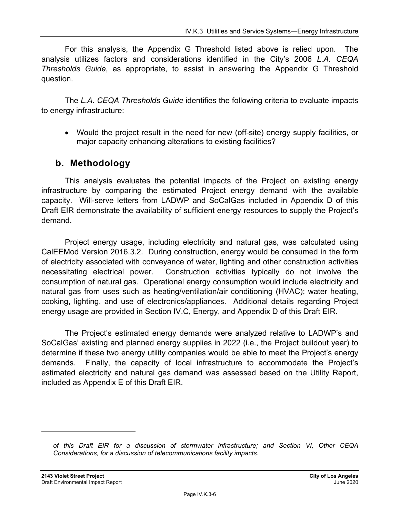For this analysis, the Appendix G Threshold listed above is relied upon. The analysis utilizes factors and considerations identified in the City's 2006 *L.A. CEQA Thresholds Guide*, as appropriate, to assist in answering the Appendix G Threshold question.

The *L.A. CEQA Thresholds Guide* identifies the following criteria to evaluate impacts to energy infrastructure:

 Would the project result in the need for new (off-site) energy supply facilities, or major capacity enhancing alterations to existing facilities?

# **b. Methodology**

This analysis evaluates the potential impacts of the Project on existing energy infrastructure by comparing the estimated Project energy demand with the available capacity. Will-serve letters from LADWP and SoCalGas included in Appendix D of this Draft EIR demonstrate the availability of sufficient energy resources to supply the Project's demand.

Project energy usage, including electricity and natural gas, was calculated using CalEEMod Version 2016.3.2. During construction, energy would be consumed in the form of electricity associated with conveyance of water, lighting and other construction activities necessitating electrical power. Construction activities typically do not involve the consumption of natural gas. Operational energy consumption would include electricity and natural gas from uses such as heating/ventilation/air conditioning (HVAC); water heating, cooking, lighting, and use of electronics/appliances. Additional details regarding Project energy usage are provided in Section IV.C, Energy, and Appendix D of this Draft EIR.

The Project's estimated energy demands were analyzed relative to LADWP's and SoCalGas' existing and planned energy supplies in 2022 (i.e., the Project buildout year) to determine if these two energy utility companies would be able to meet the Project's energy demands. Finally, the capacity of local infrastructure to accommodate the Project's estimated electricity and natural gas demand was assessed based on the Utility Report, included as Appendix E of this Draft EIR.

*of this Draft EIR for a discussion of stormwater infrastructure; and Section VI, Other CEQA Considerations, for a discussion of telecommunications facility impacts.*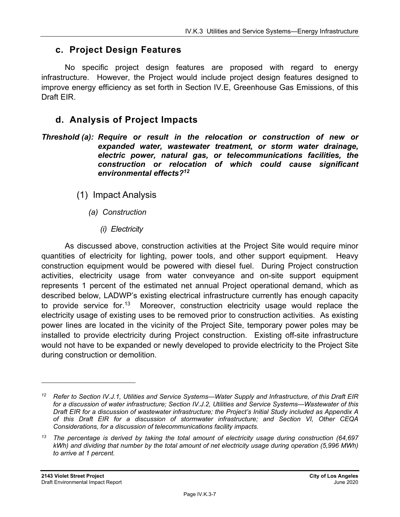# **c. Project Design Features**

No specific project design features are proposed with regard to energy infrastructure. However, the Project would include project design features designed to improve energy efficiency as set forth in Section IV.E, Greenhouse Gas Emissions, of this Draft EIR.

# **d. Analysis of Project Impacts**

- *Threshold (a): Require or result in the relocation or construction of new or expanded water, wastewater treatment, or storm water drainage, electric power, natural gas, or telecommunications facilities, the construction or relocation of which could cause significant environmental effects?12*
	- (1) Impact Analysis
		- *(a) Construction* 
			- *(i) Electricity*

As discussed above, construction activities at the Project Site would require minor quantities of electricity for lighting, power tools, and other support equipment. Heavy construction equipment would be powered with diesel fuel. During Project construction activities, electricity usage from water conveyance and on-site support equipment represents 1 percent of the estimated net annual Project operational demand, which as described below, LADWP's existing electrical infrastructure currently has enough capacity to provide service for.<sup>13</sup> Moreover, construction electricity usage would replace the electricity usage of existing uses to be removed prior to construction activities. As existing power lines are located in the vicinity of the Project Site, temporary power poles may be installed to provide electricity during Project construction. Existing off-site infrastructure would not have to be expanded or newly developed to provide electricity to the Project Site during construction or demolition.

*<sup>12</sup> Refer to Section IV.J.1, Utilities and Service Systems—Water Supply and Infrastructure, of this Draft EIR for a discussion of water infrastructure; Section IV.J.2, Utilities and Service Systems—Wastewater of this Draft EIR for a discussion of wastewater infrastructure; the Project's Initial Study included as Appendix A of this Draft EIR for a discussion of stormwater infrastructure; and Section VI, Other CEQA Considerations, for a discussion of telecommunications facility impacts.* 

*<sup>13</sup> The percentage is derived by taking the total amount of electricity usage during construction (64,697 kWh) and dividing that number by the total amount of net electricity usage during operation (5,996 MWh) to arrive at 1 percent.*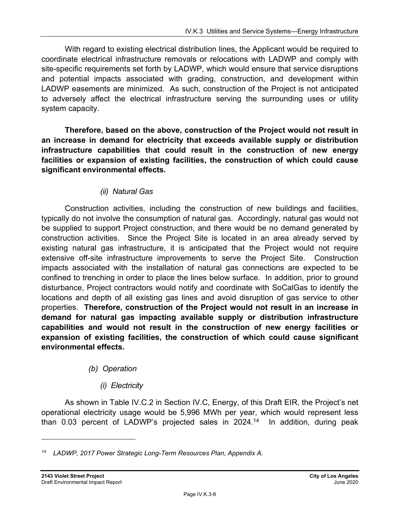With regard to existing electrical distribution lines, the Applicant would be required to coordinate electrical infrastructure removals or relocations with LADWP and comply with site-specific requirements set forth by LADWP, which would ensure that service disruptions and potential impacts associated with grading, construction, and development within LADWP easements are minimized. As such, construction of the Project is not anticipated to adversely affect the electrical infrastructure serving the surrounding uses or utility system capacity.

**Therefore, based on the above, construction of the Project would not result in an increase in demand for electricity that exceeds available supply or distribution infrastructure capabilities that could result in the construction of new energy facilities or expansion of existing facilities, the construction of which could cause significant environmental effects.** 

### *(ii) Natural Gas*

Construction activities, including the construction of new buildings and facilities, typically do not involve the consumption of natural gas. Accordingly, natural gas would not be supplied to support Project construction, and there would be no demand generated by construction activities. Since the Project Site is located in an area already served by existing natural gas infrastructure, it is anticipated that the Project would not require extensive off-site infrastructure improvements to serve the Project Site. Construction impacts associated with the installation of natural gas connections are expected to be confined to trenching in order to place the lines below surface. In addition, prior to ground disturbance, Project contractors would notify and coordinate with SoCalGas to identify the locations and depth of all existing gas lines and avoid disruption of gas service to other properties. **Therefore, construction of the Project would not result in an increase in demand for natural gas impacting available supply or distribution infrastructure capabilities and would not result in the construction of new energy facilities or expansion of existing facilities, the construction of which could cause significant environmental effects.**

### *(b) Operation*

### *(i) Electricity*

As shown in Table IV.C.2 in Section IV.C, Energy, of this Draft EIR, the Project's net operational electricity usage would be 5,996 MWh per year, which would represent less than 0.03 percent of LADWP's projected sales in  $2024<sup>14</sup>$  In addition, during peak

*<sup>14</sup> LADWP, 2017 Power Strategic Long-Term Resources Plan, Appendix A.*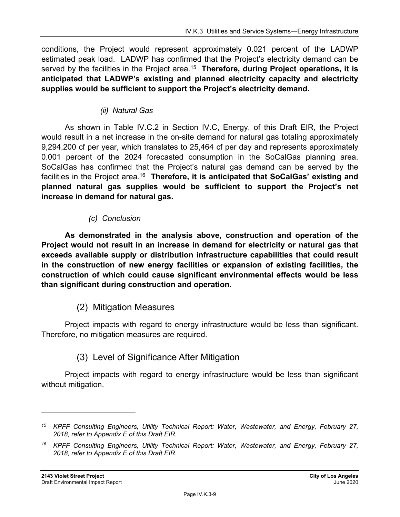conditions, the Project would represent approximately 0.021 percent of the LADWP estimated peak load. LADWP has confirmed that the Project's electricity demand can be served by the facilities in the Project area.<sup>15</sup> Therefore, during Project operations, it is **anticipated that LADWP's existing and planned electricity capacity and electricity supplies would be sufficient to support the Project's electricity demand.**

### *(ii) Natural Gas*

As shown in Table IV.C.2 in Section IV.C, Energy, of this Draft EIR, the Project would result in a net increase in the on-site demand for natural gas totaling approximately 9,294,200 cf per year, which translates to 25,464 cf per day and represents approximately 0.001 percent of the 2024 forecasted consumption in the SoCalGas planning area. SoCalGas has confirmed that the Project's natural gas demand can be served by the facilities in the Project area.<sup>16</sup> Therefore, it is anticipated that SoCalGas' existing and **planned natural gas supplies would be sufficient to support the Project's net increase in demand for natural gas.**

### *(c) Conclusion*

**As demonstrated in the analysis above, construction and operation of the Project would not result in an increase in demand for electricity or natural gas that exceeds available supply or distribution infrastructure capabilities that could result in the construction of new energy facilities or expansion of existing facilities, the construction of which could cause significant environmental effects would be less than significant during construction and operation.** 

### (2) Mitigation Measures

Project impacts with regard to energy infrastructure would be less than significant. Therefore, no mitigation measures are required.

# (3) Level of Significance After Mitigation

Project impacts with regard to energy infrastructure would be less than significant without mitigation.

*<sup>15</sup> KPFF Consulting Engineers, Utility Technical Report: Water, Wastewater, and Energy, February 27, 2018, refer to Appendix E of this Draft EIR.* 

*<sup>16</sup> KPFF Consulting Engineers, Utility Technical Report: Water, Wastewater, and Energy, February 27, 2018, refer to Appendix E of this Draft EIR.*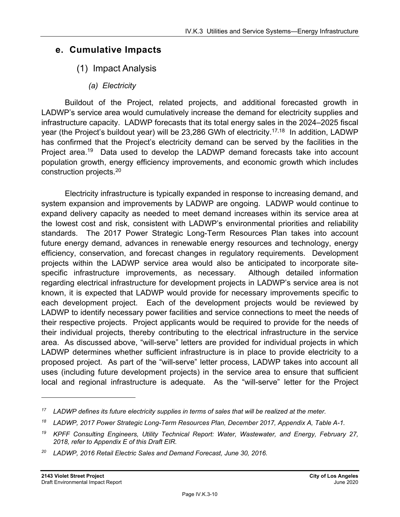# **e. Cumulative Impacts**

# (1) Impact Analysis

*(a) Electricity* 

Buildout of the Project, related projects, and additional forecasted growth in LADWP's service area would cumulatively increase the demand for electricity supplies and infrastructure capacity. LADWP forecasts that its total energy sales in the 2024–2025 fiscal year (the Project's buildout year) will be 23,286 GWh of electricity.<sup>17,18</sup> In addition, LADWP has confirmed that the Project's electricity demand can be served by the facilities in the Project area.<sup>19</sup> Data used to develop the LADWP demand forecasts take into account population growth, energy efficiency improvements, and economic growth which includes construction projects.20

Electricity infrastructure is typically expanded in response to increasing demand, and system expansion and improvements by LADWP are ongoing. LADWP would continue to expand delivery capacity as needed to meet demand increases within its service area at the lowest cost and risk, consistent with LADWP's environmental priorities and reliability standards. The 2017 Power Strategic Long-Term Resources Plan takes into account future energy demand, advances in renewable energy resources and technology, energy efficiency, conservation, and forecast changes in regulatory requirements. Development projects within the LADWP service area would also be anticipated to incorporate sitespecific infrastructure improvements, as necessary. Although detailed information regarding electrical infrastructure for development projects in LADWP's service area is not known, it is expected that LADWP would provide for necessary improvements specific to each development project. Each of the development projects would be reviewed by LADWP to identify necessary power facilities and service connections to meet the needs of their respective projects. Project applicants would be required to provide for the needs of their individual projects, thereby contributing to the electrical infrastructure in the service area. As discussed above, "will-serve" letters are provided for individual projects in which LADWP determines whether sufficient infrastructure is in place to provide electricity to a proposed project. As part of the "will-serve" letter process, LADWP takes into account all uses (including future development projects) in the service area to ensure that sufficient local and regional infrastructure is adequate. As the "will-serve" letter for the Project

*<sup>17</sup> LADWP defines its future electricity supplies in terms of sales that will be realized at the meter.* 

*<sup>18</sup> LADWP, 2017 Power Strategic Long-Term Resources Plan, December 2017, Appendix A, Table A-1.* 

*<sup>19</sup> KPFF Consulting Engineers, Utility Technical Report: Water, Wastewater, and Energy, February 27, 2018, refer to Appendix E of this Draft EIR.* 

*<sup>20</sup> LADWP, 2016 Retail Electric Sales and Demand Forecast, June 30, 2016.*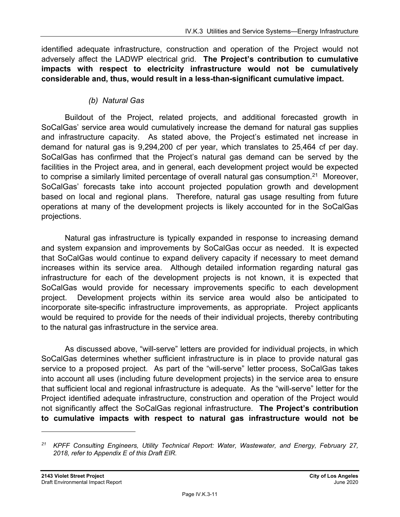identified adequate infrastructure, construction and operation of the Project would not adversely affect the LADWP electrical grid. **The Project's contribution to cumulative impacts with respect to electricity infrastructure would not be cumulatively considerable and, thus, would result in a less-than-significant cumulative impact.**

#### *(b) Natural Gas*

Buildout of the Project, related projects, and additional forecasted growth in SoCalGas' service area would cumulatively increase the demand for natural gas supplies and infrastructure capacity. As stated above, the Project's estimated net increase in demand for natural gas is 9,294,200 cf per year, which translates to 25,464 cf per day. SoCalGas has confirmed that the Project's natural gas demand can be served by the facilities in the Project area, and in general, each development project would be expected to comprise a similarly limited percentage of overall natural gas consumption.<sup>21</sup> Moreover, SoCalGas' forecasts take into account projected population growth and development based on local and regional plans. Therefore, natural gas usage resulting from future operations at many of the development projects is likely accounted for in the SoCalGas projections.

Natural gas infrastructure is typically expanded in response to increasing demand and system expansion and improvements by SoCalGas occur as needed. It is expected that SoCalGas would continue to expand delivery capacity if necessary to meet demand increases within its service area. Although detailed information regarding natural gas infrastructure for each of the development projects is not known, it is expected that SoCalGas would provide for necessary improvements specific to each development project. Development projects within its service area would also be anticipated to incorporate site-specific infrastructure improvements, as appropriate. Project applicants would be required to provide for the needs of their individual projects, thereby contributing to the natural gas infrastructure in the service area.

As discussed above, "will-serve" letters are provided for individual projects, in which SoCalGas determines whether sufficient infrastructure is in place to provide natural gas service to a proposed project. As part of the "will-serve" letter process, SoCalGas takes into account all uses (including future development projects) in the service area to ensure that sufficient local and regional infrastructure is adequate. As the "will-serve" letter for the Project identified adequate infrastructure, construction and operation of the Project would not significantly affect the SoCalGas regional infrastructure. **The Project's contribution to cumulative impacts with respect to natural gas infrastructure would not be** 

*<sup>21</sup> KPFF Consulting Engineers, Utility Technical Report: Water, Wastewater, and Energy, February 27, 2018, refer to Appendix E of this Draft EIR.*